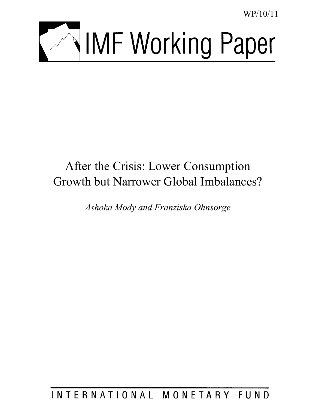WP/10/11



# After the Crisis: Lower Consumption Growth but Narrower Global Imbalances?

*Ashoka Mody and Franziska Ohnsorge* 

INTERNATIONAL MONETARY FUND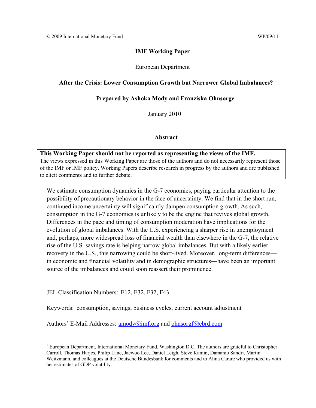#### **IMF Working Paper**

European Department

## **After the Crisis: Lower Consumption Growth but Narrower Global Imbalances?**

#### **Prepared by Ashoka Mody and Franziska Ohnsorge1**

January 2010

#### **Abstract**

**This Working Paper should not be reported as representing the views of the IMF.** The views expressed in this Working Paper are those of the authors and do not necessarily represent those of the IMF or IMF policy. Working Papers describe research in progress by the authors and are published to elicit comments and to further debate.

We estimate consumption dynamics in the G-7 economies, paying particular attention to the possibility of precautionary behavior in the face of uncertainty. We find that in the short run, continued income uncertainty will significantly dampen consumption growth. As such, consumption in the G-7 economies is unlikely to be the engine that revives global growth. Differences in the pace and timing of consumption moderation have implications for the evolution of global imbalances. With the U.S. experiencing a sharper rise in unemployment and, perhaps, more widespread loss of financial wealth than elsewhere in the G-7, the relative rise of the U.S. savings rate is helping narrow global imbalances. But with a likely earlier recovery in the U.S., this narrowing could be short-lived. Moreover, long-term differences in economic and financial volatility and in demographic structures—have been an important source of the imbalances and could soon reassert their prominence.

JEL Classification Numbers: E12, E32, F32, F43

 $\overline{a}$ 

Keywords: consumption, savings, business cycles, current account adjustment

Authors' E-Mail Addresses:  $amody@imf.org$  and ohnsorgf@ebrd.com

<sup>&</sup>lt;sup>1</sup> European Department, International Monetary Fund, Washington D.C. The authors are grateful to Christopher Carroll, Thomas Harjes, Philip Lane, Jaewoo Lee, Daniel Leigh, Steve Kamin, Damanio Sandri, Martin Weitzmann, and colleagues at the Deutsche Bundesbank for comments and to Alina Carare who provided us with her estimates of GDP volatility.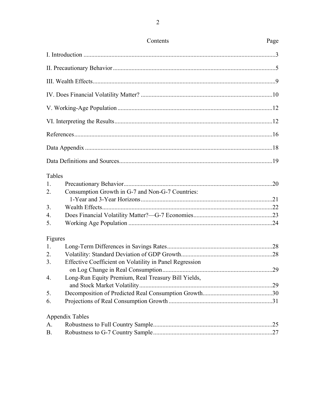|         | Contents                                                | Page |
|---------|---------------------------------------------------------|------|
|         |                                                         |      |
|         |                                                         |      |
|         |                                                         |      |
|         |                                                         |      |
|         |                                                         |      |
|         |                                                         |      |
|         |                                                         |      |
|         |                                                         |      |
|         |                                                         |      |
| Tables  |                                                         |      |
| 1.      |                                                         |      |
| 2.      | Consumption Growth in G-7 and Non-G-7 Countries:        |      |
|         |                                                         |      |
| 3.      |                                                         |      |
| 4.      |                                                         |      |
| 5.      |                                                         |      |
| Figures |                                                         |      |
| 1.      |                                                         |      |
| 2.      |                                                         |      |
| 3.      | Effective Coefficient on Volatility in Panel Regression |      |
|         |                                                         |      |
| 4.      | Long-Run Equity Premium, Real Treasury Bill Yields,     |      |
|         |                                                         |      |
| 5.      |                                                         |      |
| 6.      |                                                         |      |
|         | <b>Appendix Tables</b>                                  |      |
| A.      |                                                         |      |
| В.      |                                                         |      |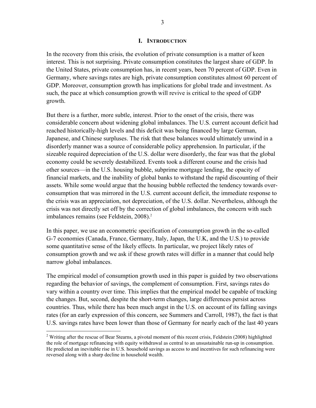## **I. INTRODUCTION**

In the recovery from this crisis, the evolution of private consumption is a matter of keen interest. This is not surprising. Private consumption constitutes the largest share of GDP. In the United States, private consumption has, in recent years, been 70 percent of GDP. Even in Germany, where savings rates are high, private consumption constitutes almost 60 percent of GDP. Moreover, consumption growth has implications for global trade and investment. As such, the pace at which consumption growth will revive is critical to the speed of GDP growth.

But there is a further, more subtle, interest. Prior to the onset of the crisis, there was considerable concern about widening global imbalances. The U.S. current account deficit had reached historically-high levels and this deficit was being financed by large German, Japanese, and Chinese surpluses. The risk that these balances would ultimately unwind in a disorderly manner was a source of considerable policy apprehension. In particular, if the sizeable required depreciation of the U.S. dollar were disorderly, the fear was that the global economy could be severely destabilized. Events took a different course and the crisis had other sources—in the U.S. housing bubble, subprime mortgage lending, the opacity of financial markets, and the inability of global banks to withstand the rapid discounting of their assets. While some would argue that the housing bubble reflected the tendency towards overconsumption that was mirrored in the U.S. current account deficit, the immediate response to the crisis was an appreciation, not depreciation, of the U.S. dollar. Nevertheless, although the crisis was not directly set off by the correction of global imbalances, the concern with such imbalances remains (see Feldstein, 2008).<sup>2</sup>

In this paper, we use an econometric specification of consumption growth in the so-called G-7 economies (Canada, France, Germany, Italy, Japan, the U.K, and the U.S.) to provide some quantitative sense of the likely effects. In particular, we project likely rates of consumption growth and we ask if these growth rates will differ in a manner that could help narrow global imbalances.

The empirical model of consumption growth used in this paper is guided by two observations regarding the behavior of savings, the complement of consumption. First, savings rates do vary within a country over time. This implies that the empirical model be capable of tracking the changes. But, second, despite the short-term changes, large differences persist across countries. Thus, while there has been much angst in the U.S. on account of its falling savings rates (for an early expression of this concern, see Summers and Carroll, 1987), the fact is that U.S. savings rates have been lower than those of Germany for nearly each of the last 40 years

<u>.</u>

 $2$  Writing after the rescue of Bear Stearns, a pivotal moment of this recent crisis, Feldstein (2008) highlighted the role of mortgage refinancing with equity withdrawal as central to an unsustainable run-up in consumption. He predicted an inevitable rise in U.S. household savings as access to and incentives for such refinancing were reversed along with a sharp decline in household wealth.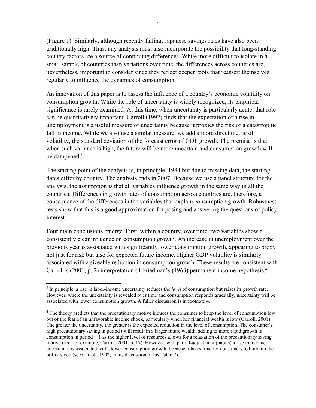(Figure 1). Similarly, although recently falling, Japanese savings rates have also been traditionally high. Thus, any analysis must also incorporate the possibility that long-standing country factors are a source of continuing differences. While more difficult to isolate in a small sample of countries than variations over time, the differences across countries are, nevertheless, important to consider since they reflect deeper roots that reassert themselves regularly to influence the dynamics of consumption.

An innovation of this paper is to assess the influence of a country's economic volatility on consumption growth. While the role of uncertainty is widely recognized, its empirical significance is rarely examined. At this time, when uncertainty is particularly acute, that role can be quantitatively important. Carroll (1992) finds that the expectation of a rise in unemployment is a useful measure of uncertainty because it proxies the risk of a catastrophic fall in income. While we also use a similar measure, we add a more direct metric of volatility, the standard deviation of the forecast error of GDP growth. The premise is that when such variance is high, the future will be more uncertain and consumption growth will be dampened.<sup>3</sup>

The starting point of the analysis is, in principle, 1984 but due to missing data, the starting dates differ by country. The analysis ends in 2007. Because we use a panel structure for the analysis, the assumption is that all variables influence growth in the same way in all the countries. Differences in growth rates of consumption across countries are, therefore, a consequence of the differences in the variables that explain consumption growth. Robustness tests show that this is a good approximation for posing and answering the questions of policy interest.

Four main conclusions emerge. First, within a country, over time, two variables show a consistently clear influence on consumption growth. An increase in unemployment over the previous year is associated with significantly lower consumption growth, appearing to proxy not just for risk but also for expected future income. Higher GDP volatility is similarly associated with a sizeable reduction in consumption growth. These results are consistent with Carroll's (2001, p. 2) interpretation of Friedman's (1963) permanent income hypothesis.<sup>4</sup>

1

<sup>&</sup>lt;sup>3</sup> In principle, a rise in labor-income uncertainty reduces the *level* of consumption but raises its growth rate. However, where the uncertainty is revealed over time and consumption responds gradually, uncertainty will be associated with lower consumption growth. A fuller discussion is in footnote 4.

<sup>&</sup>lt;sup>4</sup> The theory predicts that the precautionary motive induces the consumer to keep the level of consumption low out of the fear of an unfavorable income shock, particularly when her financial wealth is low (Carroll, 2001). The greater the uncertainty, the greater is the expected reduction in the level of consumption. The consumer's high precautionary saving in period t will result in a larger future wealth, adding to more rapid growth in consumption in period t+1 as the higher level of resources allows for a relaxation of the precautionary saving motive (see, for example, Carroll, 2001, p. 17). However, with partial-adjustment (habits) a rise in income uncertainty is associated with slower consumption growth, because it takes time for consumers to build up the buffer stock (see Carroll, 1992, in his discussion of his Table 7).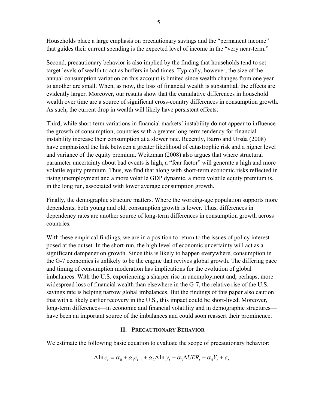Households place a large emphasis on precautionary savings and the "permanent income" that guides their current spending is the expected level of income in the "very near-term."

Second, precautionary behavior is also implied by the finding that households tend to set target levels of wealth to act as buffers in bad times. Typically, however, the size of the annual consumption variation on this account is limited since wealth changes from one year to another are small. When, as now, the loss of financial wealth is substantial, the effects are evidently larger. Moreover, our results show that the cumulative differences in household wealth over time are a source of significant cross-country differences in consumption growth. As such, the current drop in wealth will likely have persistent effects.

Third, while short-term variations in financial markets' instability do not appear to influence the growth of consumption, countries with a greater long-term tendency for financial instability increase their consumption at a slower rate. Recently, Barro and Ursúa (2008) have emphasized the link between a greater likelihood of catastrophic risk and a higher level and variance of the equity premium. Weitzman (2008) also argues that where structural parameter uncertainty about bad events is high, a "fear factor" will generate a high and more volatile equity premium. Thus, we find that along with short-term economic risks reflected in rising unemployment and a more volatile GDP dynamic, a more volatile equity premium is, in the long run, associated with lower average consumption growth.

Finally, the demographic structure matters. Where the working-age population supports more dependents, both young and old, consumption growth is lower. Thus, differences in dependency rates are another source of long-term differences in consumption growth across countries.

With these empirical findings, we are in a position to return to the issues of policy interest posed at the outset. In the short-run, the high level of economic uncertainty will act as a significant dampener on growth. Since this is likely to happen everywhere, consumption in the G-7 economies is unlikely to be the engine that revives global growth. The differing pace and timing of consumption moderation has implications for the evolution of global imbalances. With the U.S. experiencing a sharper rise in unemployment and, perhaps, more widespread loss of financial wealth than elsewhere in the G-7, the relative rise of the U.S. savings rate is helping narrow global imbalances. But the findings of this paper also caution that with a likely earlier recovery in the U.S., this impact could be short-lived. Moreover, long-term differences—in economic and financial volatility and in demographic structures have been an important source of the imbalances and could soon reassert their prominence.

## **II. PRECAUTIONARY BEHAVIOR**

We estimate the following basic equation to evaluate the scope of precautionary behavior:

$$
\Delta \ln c_t = \alpha_0 + \alpha_1 c_{t-1} + \alpha_2 \Delta \ln y_t + \alpha_3 \Delta UER_t + \alpha_4 V_t + \varepsilon_t.
$$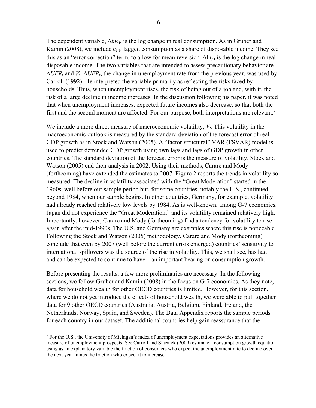The dependent variable,  $\Delta ln c_t$ , is the log change in real consumption. As in Gruber and Kamin (2008), we include  $c_{t-1}$ , lagged consumption as a share of disposable income. They see this as an "error correction" term, to allow for mean reversion.  $\Delta \ln y_t$  is the log change in real disposable income. The two variables that are intended to assess precautionary behavior are  $\Delta UER_t$  and  $V_t$ .  $\Delta UER_t$ , the change in unemployment rate from the previous year, was used by Carroll (1992). He interpreted the variable primarily as reflecting the risks faced by households. Thus, when unemployment rises, the risk of being out of a job and, with it, the risk of a large decline in income increases. In the discussion following his paper, it was noted that when unemployment increases, expected future incomes also decrease, so that both the first and the second moment are affected. For our purpose, both interpretations are relevant.<sup>5</sup>

We include a more direct measure of macroeconomic volatility,  $V_t$ . This volatility in the macroeconomic outlook is measured by the standard deviation of the forecast error of real GDP growth as in Stock and Watson (2005). A "factor-structural" VAR (FSVAR) model is used to predict detrended GDP growth using own lags and lags of GDP growth in other countries. The standard deviation of the forecast error is the measure of volatility. Stock and Watson (2005) end their analysis in 2002. Using their methods, Carare and Mody (forthcoming) have extended the estimates to 2007. Figure 2 reports the trends in volatility so measured. The decline in volatility associated with the "Great Moderation" started in the 1960s, well before our sample period but, for some countries, notably the U.S., continued beyond 1984, when our sample begins. In other countries, Germany, for example, volatility had already reached relatively low levels by 1984. As is well-known, among G-7 economies, Japan did not experience the "Great Moderation," and its volatility remained relatively high. Importantly, however, Carare and Mody (forthcoming) find a tendency for volatility to rise again after the mid-1990s. The U.S. and Germany are examples where this rise is noticeable. Following the Stock and Watson (2005) methodology, Carare and Mody (forthcoming) conclude that even by 2007 (well before the current crisis emerged) countries' sensitivity to international spillovers was the source of the rise in volatility. This, we shall see, has had and can be expected to continue to have—an important bearing on consumption growth.

Before presenting the results, a few more preliminaries are necessary. In the following sections, we follow Gruber and Kamin (2008) in the focus on G-7 economies. As they note, data for household wealth for other OECD countries is limited. However, for this section, where we do not yet introduce the effects of household wealth, we were able to pull together data for 9 other OECD countries (Australia, Austria, Belgium, Finland, Ireland, the Netherlands, Norway, Spain, and Sweden). The Data Appendix reports the sample periods for each country in our dataset. The additional countries help gain reassurance that the

 $\overline{a}$ 

 $<sup>5</sup>$  For the U.S., the University of Michigan's index of unemployment expectations provides an alternative</sup> measure of unemployment prospects. See Carroll and Slacalek (2009) estimate a consumption growth equation using as an explanatory variable the fraction of consumers who expect the unemployment rate to decline over the next year minus the fraction who expect it to increase.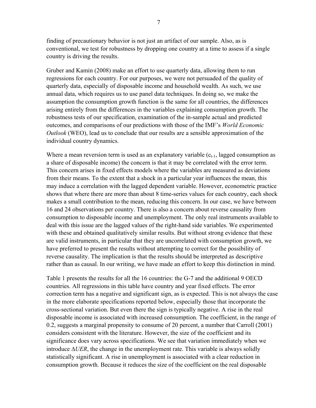finding of precautionary behavior is not just an artifact of our sample. Also, as is conventional, we test for robustness by dropping one country at a time to assess if a single country is driving the results.

Gruber and Kamin (2008) make an effort to use quarterly data, allowing them to run regressions for each country. For our purposes, we were not persuaded of the quality of quarterly data, especially of disposable income and household wealth. As such, we use annual data, which requires us to use panel data techniques. In doing so, we make the assumption the consumption growth function is the same for all countries, the differences arising entirely from the differences in the variables explaining consumption growth. The robustness tests of our specification, examination of the in-sample actual and predicted outcomes, and comparisons of our predictions with those of the IMF's *World Economic Outlook* (WEO), lead us to conclude that our results are a sensible approximation of the individual country dynamics.

Where a mean reversion term is used as an explanatory variable  $(c_{t-1},$  lagged consumption as a share of disposable income) the concern is that it may be correlated with the error term. This concern arises in fixed effects models where the variables are measured as deviations from their means. To the extent that a shock in a particular year influences the mean, this may induce a correlation with the lagged dependent variable. However, econometric practice shows that where there are more than about 8 time-series values for each country, each shock makes a small contribution to the mean, reducing this concern. In our case, we have between 16 and 24 observations per country. There is also a concern about reverse causality from consumption to disposable income and unemployment. The only real instruments available to deal with this issue are the lagged values of the right-hand side variables. We experimented with these and obtained qualitatively similar results. But without strong evidence that these are valid instruments, in particular that they are uncorrelated with consumption growth, we have preferred to present the results without attempting to correct for the possibility of reverse causality. The implication is that the results should be interpreted as descriptive rather than as causal. In our writing, we have made an effort to keep this distinction in mind.

Table 1 presents the results for all the 16 countries: the G-7 and the additional 9 OECD countries. All regressions in this table have country and year fixed effects. The error correction term has a negative and significant sign, as is expected. This is not always the case in the more elaborate specifications reported below, especially those that incorporate the cross-sectional variation. But even there the sign is typically negative. A rise in the real disposable income is associated with increased consumption. The coefficient, in the range of 0.2, suggests a marginal propensity to consume of 20 percent, a number that Carroll (2001) considers consistent with the literature. However, the size of the coefficient and its significance does vary across specifications. We see that variation immediately when we introduce  $\Delta UER$ , the change in the unemployment rate. This variable is always solidly statistically significant. A rise in unemployment is associated with a clear reduction in consumption growth. Because it reduces the size of the coefficient on the real disposable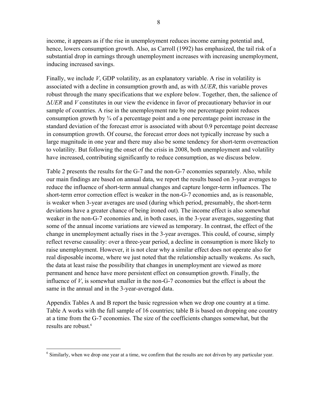income, it appears as if the rise in unemployment reduces income earning potential and, hence, lowers consumption growth. Also, as Carroll (1992) has emphasized, the tail risk of a substantial drop in earnings through unemployment increases with increasing unemployment, inducing increased savings.

Finally, we include *V*, GDP volatility, as an explanatory variable. A rise in volatility is associated with a decline in consumption growth and, as with  $\Delta UER$ , this variable proves robust through the many specifications that we explore below. Together, then, the salience of *UER* and *V* constitutes in our view the evidence in favor of precautionary behavior in our sample of countries. A rise in the unemployment rate by one percentage point reduces consumption growth by ¾ of a percentage point and a one percentage point increase in the standard deviation of the forecast error is associated with about 0.9 percentage point decrease in consumption growth. Of course, the forecast error does not typically increase by such a large magnitude in one year and there may also be some tendency for short-term overreaction to volatility. But following the onset of the crisis in 2008, both unemployment and volatility have increased, contributing significantly to reduce consumption, as we discuss below.

Table 2 presents the results for the G-7 and the non-G-7 economies separately. Also, while our main findings are based on annual data, we report the results based on 3-year averages to reduce the influence of short-term annual changes and capture longer-term influences. The short-term error correction effect is weaker in the non-G-7 economies and, as is reasonable, is weaker when 3-year averages are used (during which period, presumably, the short-term deviations have a greater chance of being ironed out). The income effect is also somewhat weaker in the non-G-7 economies and, in both cases, in the 3-year averages, suggesting that some of the annual income variations are viewed as temporary. In contrast, the effect of the change in unemployment actually rises in the 3-year averages. This could, of course, simply reflect reverse causality: over a three-year period, a decline in consumption is more likely to raise unemployment. However, it is not clear why a similar effect does not operate also for real disposable income, where we just noted that the relationship actually weakens. As such, the data at least raise the possibility that changes in unemployment are viewed as more permanent and hence have more persistent effect on consumption growth. Finally, the influence of *V*, is somewhat smaller in the non-G-7 economies but the effect is about the same in the annual and in the 3-year-averaged data.

Appendix Tables A and B report the basic regression when we drop one country at a time. Table A works with the full sample of 16 countries; table B is based on dropping one country at a time from the G-7 economies. The size of the coefficients changes somewhat, but the results are robust.<sup>6</sup>

<sup>&</sup>lt;sup>6</sup> Similarly, when we drop one year at a time, we confirm that the results are not driven by any particular year.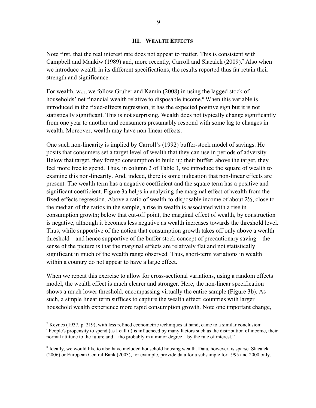## **III. WEALTH EFFECTS**

Note first, that the real interest rate does not appear to matter. This is consistent with Campbell and Mankiw (1989) and, more recently, Carroll and Slacalek (2009).<sup>7</sup> Also when we introduce wealth in its different specifications, the results reported thus far retain their strength and significance.

For wealth,  $W_{t-1}$ , we follow Gruber and Kamin (2008) in using the lagged stock of households' net financial wealth relative to disposable income.<sup>8</sup> When this variable is introduced in the fixed-effects regression, it has the expected positive sign but it is not statistically significant. This is not surprising. Wealth does not typically change significantly from one year to another and consumers presumably respond with some lag to changes in wealth. Moreover, wealth may have non-linear effects.

One such non-linearity is implied by Carroll's (1992) buffer-stock model of savings. He posits that consumers set a target level of wealth that they can use in periods of adversity. Below that target, they forego consumption to build up their buffer; above the target, they feel more free to spend. Thus, in column 2 of Table 3, we introduce the square of wealth to examine this non-linearity. And, indeed, there is some indication that non-linear effects are present. The wealth term has a negative coefficient and the square term has a positive and significant coefficient. Figure 3a helps in analyzing the marginal effect of wealth from the fixed-effects regression. Above a ratio of wealth-to-disposable income of about 2½, close to the median of the ratios in the sample, a rise in wealth is associated with a rise in consumption growth; below that cut-off point, the marginal effect of wealth, by construction is negative, although it becomes less negative as wealth increases towards the threshold level. Thus, while supportive of the notion that consumption growth takes off only above a wealth threshold—and hence supportive of the buffer stock concept of precautionary saving—the sense of the picture is that the marginal effects are relatively flat and not statistically significant in much of the wealth range observed. Thus, short-term variations in wealth within a country do not appear to have a large effect.

When we repeat this exercise to allow for cross-sectional variations, using a random effects model, the wealth effect is much clearer and stronger. Here, the non-linear specification shows a much lower threshold, encompassing virtually the entire sample (Figure 3b). As such, a simple linear term suffices to capture the wealth effect: countries with larger household wealth experience more rapid consumption growth. Note one important change,

 $\overline{a}$ 

<sup>&</sup>lt;sup>7</sup> Keynes (1937, p. 219), with less refined econometric techniques at hand, came to a similar conclusion: "People's propensity to spend (as I call it) is influenced by many factors such as the distribution of income, their normal attitude to the future and—tho probably in a minor degree—by the rate of interest."

<sup>&</sup>lt;sup>8</sup> Ideally, we would like to also have included household housing wealth. Data, however, is sparse. Slacalek (2006) or European Central Bank (2003), for example, provide data for a subsample for 1995 and 2000 only.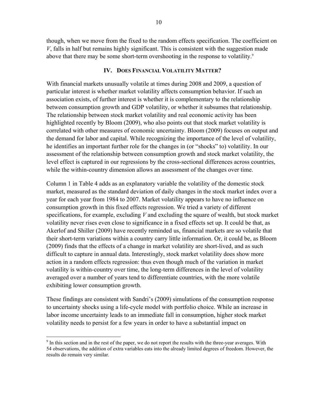though, when we move from the fixed to the random effects specification. The coefficient on *V*, falls in half but remains highly significant. This is consistent with the suggestion made above that there may be some short-term overshooting in the response to volatility.<sup>9</sup>

## **IV. DOES FINANCIAL VOLATILITY MATTER?**

With financial markets unusually volatile at times during 2008 and 2009, a question of particular interest is whether market volatility affects consumption behavior. If such an association exists, of further interest is whether it is complementary to the relationship between consumption growth and GDP volatility, or whether it subsumes that relationship. The relationship between stock market volatility and real economic activity has been highlighted recently by Bloom (2009), who also points out that stock market volatility is correlated with other measures of economic uncertainty. Bloom (2009) focuses on output and the demand for labor and capital. While recognizing the importance of the level of volatility, he identifies an important further role for the changes in (or "shocks" to) volatility. In our assessment of the relationship between consumption growth and stock market volatility, the level effect is captured in our regressions by the cross-sectional differences across countries, while the within-country dimension allows an assessment of the changes over time.

Column 1 in Table 4 adds as an explanatory variable the volatility of the domestic stock market, measured as the standard deviation of daily changes in the stock market index over a year for each year from 1984 to 2007. Market volatility appears to have no influence on consumption growth in this fixed effects regression. We tried a variety of different specifications, for example, excluding *V* and excluding the square of wealth, but stock market volatility never rises even close to significance in a fixed effects set up. It could be that, as Akerlof and Shiller (2009) have recently reminded us, financial markets are so volatile that their short-term variations within a country carry little information. Or, it could be, as Bloom (2009) finds that the effects of a change in market volatility are short-lived, and as such difficult to capture in annual data. Interestingly, stock market volatility does show more action in a random effects regression: thus even though much of the variation in market volatility is within-country over time, the long-term differences in the level of volatility averaged over a number of years tend to differentiate countries, with the more volatile exhibiting lower consumption growth.

These findings are consistent with Sandri's (2009) simulations of the consumption response to uncertainty shocks using a life-cycle model with portfolio choice. While an increase in labor income uncertainty leads to an immediate fall in consumption, higher stock market volatility needs to persist for a few years in order to have a substantial impact on

 $\overline{a}$ 

 $9<sup>9</sup>$  In this section and in the rest of the paper, we do not report the results with the three-year averages. With 54 observations, the addition of extra variables eats into the already limited degrees of freedom. However, the results do remain very similar.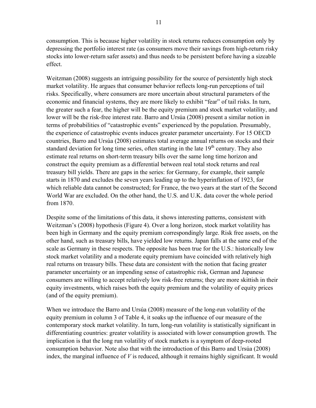consumption. This is because higher volatility in stock returns reduces consumption only by depressing the portfolio interest rate (as consumers move their savings from high-return risky stocks into lower-return safer assets) and thus needs to be persistent before having a sizeable effect.

Weitzman (2008) suggests an intriguing possibility for the source of persistently high stock market volatility. He argues that consumer behavior reflects long-run perceptions of tail risks. Specifically, where consumers are more uncertain about structural parameters of the economic and financial systems, they are more likely to exhibit "fear" of tail risks. In turn, the greater such a fear, the higher will be the equity premium and stock market volatility, and lower will be the risk-free interest rate. Barro and Ursúa (2008) present a similar notion in terms of probabilities of "catastrophic events" experienced by the population. Presumably, the experience of catastrophic events induces greater parameter uncertainty. For 15 OECD countries, Barro and Ursúa (2008) estimates total average annual returns on stocks and their standard deviation for long time series, often starting in the late  $19<sup>th</sup>$  century. They also estimate real returns on short-term treasury bills over the same long time horizon and construct the equity premium as a differential between real total stock returns and real treasury bill yields. There are gaps in the series: for Germany, for example, their sample starts in 1870 and excludes the seven years leading up to the hyperinflation of 1923, for which reliable data cannot be constructed; for France, the two years at the start of the Second World War are excluded. On the other hand, the U.S. and U.K. data cover the whole period from 1870.

Despite some of the limitations of this data, it shows interesting patterns, consistent with Weitzman's (2008) hypothesis (Figure 4). Over a long horizon, stock market volatility has been high in Germany and the equity premium correspondingly large. Risk free assets, on the other hand, such as treasury bills, have yielded low returns. Japan falls at the same end of the scale as Germany in these respects. The opposite has been true for the U.S.: historically low stock market volatility and a moderate equity premium have coincided with relatively high real returns on treasury bills. These data are consistent with the notion that facing greater parameter uncertainty or an impending sense of catastrophic risk, German and Japanese consumers are willing to accept relatively low risk-free returns; they are more skittish in their equity investments, which raises both the equity premium and the volatility of equity prices (and of the equity premium).

When we introduce the Barro and Ursúa (2008) measure of the long-run volatility of the equity premium in column 3 of Table 4, it soaks up the influence of our measure of the contemporary stock market volatility. In turn, long-run volatility is statistically significant in differentiating countries: greater volatility is associated with lower consumption growth. The implication is that the long run volatility of stock markets is a symptom of deep-rooted consumption behavior. Note also that with the introduction of this Barro and Ursúa (2008) index, the marginal influence of *V* is reduced, although it remains highly significant. It would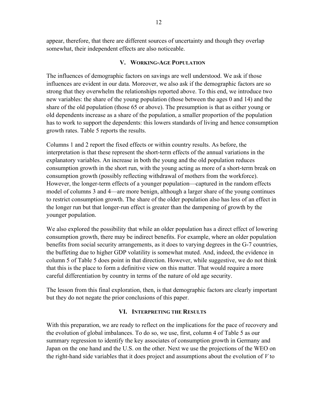appear, therefore, that there are different sources of uncertainty and though they overlap somewhat, their independent effects are also noticeable.

## **V. WORKING-AGE POPULATION**

The influences of demographic factors on savings are well understood. We ask if those influences are evident in our data. Moreover, we also ask if the demographic factors are so strong that they overwhelm the relationships reported above. To this end, we introduce two new variables: the share of the young population (those between the ages 0 and 14) and the share of the old population (those 65 or above). The presumption is that as either young or old dependents increase as a share of the population, a smaller proportion of the population has to work to support the dependents: this lowers standards of living and hence consumption growth rates. Table 5 reports the results.

Columns 1 and 2 report the fixed effects or within country results. As before, the interpretation is that these represent the short-term effects of the annual variations in the explanatory variables. An increase in both the young and the old population reduces consumption growth in the short run, with the young acting as more of a short-term break on consumption growth (possibly reflecting withdrawal of mothers from the workforce). However, the longer-term effects of a younger population—captured in the random effects model of columns 3 and 4—are more benign, although a larger share of the young continues to restrict consumption growth. The share of the older population also has less of an effect in the longer run but that longer-run effect is greater than the dampening of growth by the younger population.

We also explored the possibility that while an older population has a direct effect of lowering consumption growth, there may be indirect benefits. For example, where an older population benefits from social security arrangements, as it does to varying degrees in the G-7 countries, the buffeting due to higher GDP volatility is somewhat muted. And, indeed, the evidence in column 5 of Table 5 does point in that direction. However, while suggestive, we do not think that this is the place to form a definitive view on this matter. That would require a more careful differentiation by country in terms of the nature of old age security.

The lesson from this final exploration, then, is that demographic factors are clearly important but they do not negate the prior conclusions of this paper.

## **VI. INTERPRETING THE RESULTS**

With this preparation, we are ready to reflect on the implications for the pace of recovery and the evolution of global imbalances. To do so, we use, first, column 4 of Table 5 as our summary regression to identify the key associates of consumption growth in Germany and Japan on the one hand and the U.S. on the other. Next we use the projections of the WEO on the right-hand side variables that it does project and assumptions about the evolution of *V* to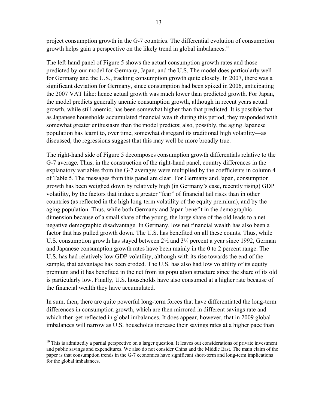project consumption growth in the G-7 countries. The differential evolution of consumption growth helps gain a perspective on the likely trend in global imbalances.<sup>10</sup>

The left-hand panel of Figure 5 shows the actual consumption growth rates and those predicted by our model for Germany, Japan, and the U.S. The model does particularly well for Germany and the U.S., tracking consumption growth quite closely. In 2007, there was a significant deviation for Germany, since consumption had been spiked in 2006, anticipating the 2007 VAT hike: hence actual growth was much lower than predicted growth. For Japan, the model predicts generally anemic consumption growth, although in recent years actual growth, while still anemic, has been somewhat higher than that predicted. It is possible that as Japanese households accumulated financial wealth during this period, they responded with somewhat greater enthusiasm than the model predicts; also, possibly, the aging Japanese population has learnt to, over time, somewhat disregard its traditional high volatility—as discussed, the regressions suggest that this may well be more broadly true.

The right-hand side of Figure 5 decomposes consumption growth differentials relative to the G-7 average. Thus, in the construction of the right-hand panel, country differences in the explanatory variables from the G-7 averages were multiplied by the coefficients in column 4 of Table 5. The messages from this panel are clear. For Germany and Japan, consumption growth has been weighed down by relatively high (in Germany's case, recently rising) GDP volatility, by the factors that induce a greater "fear" of financial tail risks than in other countries (as reflected in the high long-term volatility of the equity premium), and by the aging population. Thus, while both Germany and Japan benefit in the demographic dimension because of a small share of the young, the large share of the old leads to a net negative demographic disadvantage. In Germany, low net financial wealth has also been a factor that has pulled growth down. The U.S. has benefited on all these counts. Thus, while U.S. consumption growth has stayed between 2½ and 3¼ percent a year since 1992, German and Japanese consumption growth rates have been mainly in the 0 to 2 percent range. The U.S. has had relatively low GDP volatility, although with its rise towards the end of the sample, that advantage has been eroded. The U.S. has also had low volatility of its equity premium and it has benefited in the net from its population structure since the share of its old is particularly low. Finally, U.S. households have also consumed at a higher rate because of the financial wealth they have accumulated.

In sum, then, there are quite powerful long-term forces that have differentiated the long-term differences in consumption growth, which are then mirrored in different savings rate and which then get reflected in global imbalances. It does appear, however, that in 2009 global imbalances will narrow as U.S. households increase their savings rates at a higher pace than

 $\overline{a}$ 

 $10$  This is admittedly a partial perspective on a larger question. It leaves out considerations of private investment and public savings and expenditures. We also do not consider China and the Middle East. The main claim of the paper is that consumption trends in the G-7 economies have significant short-term and long-term implications for the global imbalances.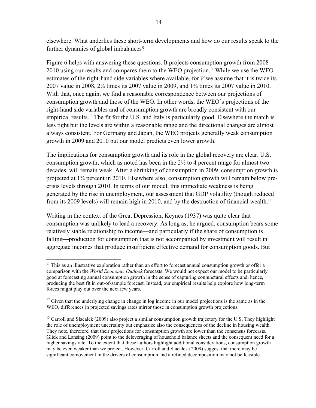elsewhere. What underlies these short-term developments and how do our results speak to the further dynamics of global imbalances?

Figure 6 helps with answering these questions. It projects consumption growth from 2008- 2010 using our results and compares them to the WEO projection.<sup>11</sup> While we use the WEO estimates of the right-hand side variables where available, for *V* we assume that it is twice its 2007 value in 2008, 2¼ times its 2007 value in 2009, and 1¾ times its 2007 value in 2010. With that, once again, we find a reasonable correspondence between our projections of consumption growth and those of the WEO. In other words, the WEO's projections of the right-hand side variables and of consumption growth are broadly consistent with our empirical results.<sup>12</sup> The fit for the U.S. and Italy is particularly good. Elsewhere the match is less tight but the levels are within a reasonable range and the directional changes are almost always consistent. For Germany and Japan, the WEO projects generally weak consumption growth in 2009 and 2010 but our model predicts even lower growth.

The implications for consumption growth and its role in the global recovery are clear. U.S. consumption growth, which as noted has been in the 2½ to 4 percent range for almost two decades, will remain weak. After a shrinking of consumption in 2009, consumption growth is projected at 1¾ percent in 2010. Elsewhere also, consumption growth will remain below precrisis levels through 2010. In terms of our model, this immediate weakness is being generated by the rise in unemployment, our assessment that GDP volatility (though reduced from its 2009 levels) will remain high in 2010, and by the destruction of financial wealth.<sup>13</sup>

Writing in the context of the Great Depression, Keynes (1937) was quite clear that consumption was unlikely to lead a recovery. As long as, he argued, consumption bears some relatively stable relationship to income—and particularly if the share of consumption is falling—production for consumption that is not accompanied by investment will result in aggregate incomes that produce insufficient effective demand for consumption goods. But

 $\overline{a}$ 

 $11$  This as an illustrative exploration rather than an effort to forecast annual consumption growth or offer a comparison with the *World Economic Outlook* forecasts. We would not expect our model to be particularly good at forecasting annual consumption growth in the sense of capturing conjunctural effects and, hence, producing the best fit in out-of-sample forecast. Instead, our empirical results help explore how long-term forces might play out over the next few years.

<sup>&</sup>lt;sup>12</sup> Given that the underlying change in change in log income in our model projections is the same as in the WEO, differences in projected savings rates mirror those in consumption growth projections.

<sup>&</sup>lt;sup>13</sup> Carroll and Slacalek (2009) also project a similar consumption growth trajectory for the U.S. They highlight the role of unemployment uncertainty but emphasize also the consequences of the decline in housing wealth. They note, therefore, that their projections for consumption growth are lower than the consensus forecasts. Glick and Lansing (2009) point to the deleveraging of household balance sheets and the consequent need for a higher savings rate. To the extent that these authors highlight additional considerations, consumption growth may be even weaker than we project. However, Carroll and Slacalek (2009) suggest that there may be significant comovement in the drivers of consumption and a refined decomposition may not be feasible.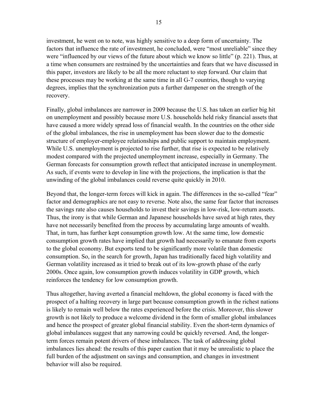investment, he went on to note, was highly sensitive to a deep form of uncertainty. The factors that influence the rate of investment, he concluded, were "most unreliable" since they were "influenced by our views of the future about which we know so little" (p. 221). Thus, at a time when consumers are restrained by the uncertainties and fears that we have discussed in this paper, investors are likely to be all the more reluctant to step forward. Our claim that these processes may be working at the same time in all G-7 countries, though to varying degrees, implies that the synchronization puts a further dampener on the strength of the recovery.

Finally, global imbalances are narrower in 2009 because the U.S. has taken an earlier big hit on unemployment and possibly because more U.S. households held risky financial assets that have caused a more widely spread loss of financial wealth. In the countries on the other side of the global imbalances, the rise in unemployment has been slower due to the domestic structure of employer-employee relationships and public support to maintain employment. While U.S. unemployment is projected to rise further, that rise is expected to be relatively modest compared with the projected unemployment increase, especially in Germany. The German forecasts for consumption growth reflect that anticipated increase in unemployment. As such, if events were to develop in line with the projections, the implication is that the unwinding of the global imbalances could reverse quite quickly in 2010.

Beyond that, the longer-term forces will kick in again. The differences in the so-called "fear" factor and demographics are not easy to reverse. Note also, the same fear factor that increases the savings rate also causes households to invest their savings in low-risk, low-return assets. Thus, the irony is that while German and Japanese households have saved at high rates, they have not necessarily benefited from the process by accumulating large amounts of wealth. That, in turn, has further kept consumption growth low. At the same time, low domestic consumption growth rates have implied that growth had necessarily to emanate from exports to the global economy. But exports tend to be significantly more volatile than domestic consumption. So, in the search for growth, Japan has traditionally faced high volatility and German volatility increased as it tried to break out of its low-growth phase of the early 2000s. Once again, low consumption growth induces volatility in GDP growth, which reinforces the tendency for low consumption growth.

Thus altogether, having averted a financial meltdown, the global economy is faced with the prospect of a halting recovery in large part because consumption growth in the richest nations is likely to remain well below the rates experienced before the crisis. Moreover, this slower growth is not likely to produce a welcome dividend in the form of smaller global imbalances and hence the prospect of greater global financial stability. Even the short-term dynamics of global imbalances suggest that any narrowing could be quickly reversed. And, the longerterm forces remain potent drivers of these imbalances. The task of addressing global imbalances lies ahead: the results of this paper caution that it may be unrealistic to place the full burden of the adjustment on savings and consumption, and changes in investment behavior will also be required.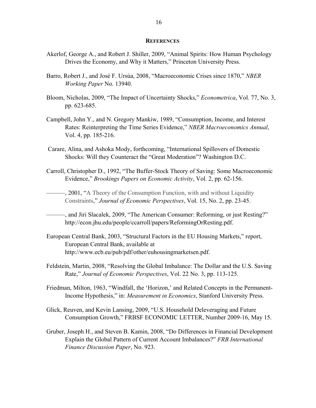#### **REFERENCES**

- Akerlof, George A., and Robert J. Shiller, 2009, "Animal Spirits: How Human Psychology Drives the Economy, and Why it Matters," Princeton University Press.
- Barro, Robert J., and José F. Ursúa, 2008, "Macroeconomic Crises since 1870," *NBER Working Paper* No. 13940.
- Bloom, Nicholas, 2009, "The Impact of Uncertainty Shocks," *Econometrica*, Vol. 77, No. 3, pp. 623-685.
- Campbell, John Y., and N. Gregory Mankiw, 1989, "Consumption, Income, and Interest Rates: Reinterpreting the Time Series Evidence," *NBER Macroeconomics Annual*, Vol. 4, pp. 185-216.
- Carare, Alina, and Ashoka Mody, forthcoming, "International Spillovers of Domestic Shocks: Will they Counteract the "Great Moderation"? Washington D.C.
- Carroll, Christopher D., 1992, "The Buffer-Stock Theory of Saving: Some Macroeconomic Evidence," *Brookings Papers on Economic Activity*, Vol. 2, pp. 62-156.

 $-$ , 2001, "A Theory of the Consumption Function, with and without Liquidity Constraints," *Journal of Economic Perspectives*, Vol. 15, No. 2, pp. 23-45.

- ———, and Jiri Slacalek, 2009, "The American Consumer: Reforming, or just Resting?" http://econ.jhu.edu/people/ccarroll/papers/ReformingOrResting.pdf.
- European Central Bank, 2003, "Structural Factors in the EU Housing Markets," report, European Central Bank, available at http://www.ecb.eu/pub/pdf/other/euhousingmarketsen.pdf.
- Feldstein, Martin, 2008, "Resolving the Global Imbalance: The Dollar and the U.S. Saving Rate," *Journal of Economic Perspectives*, Vol. 22 No. 3, pp. 113-125.
- Friedman, Milton, 1963, "Windfall, the 'Horizon,' and Related Concepts in the Permanent-Income Hypothesis," in: *Measurement in Economics*, Stanford University Press.
- Glick, Reuven, and Kevin Lansing, 2009, "U.S. Household Deleveraging and Future Consumption Growth," FRBSF ECONOMIC LETTER, Number 2009-16, May 15.
- Gruber, Joseph H., and Steven B. Kamin, 2008, "Do Differences in Financial Development Explain the Global Pattern of Current Account Imbalances?" *FRB International Finance Discussion Paper*, No. 923.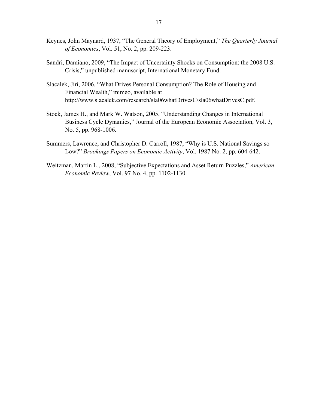- Keynes, John Maynard, 1937, "The General Theory of Employment," *The Quarterly Journal of Economics*, Vol. 51, No. 2, pp. 209-223.
- Sandri, Damiano, 2009, "The Impact of Uncertainty Shocks on Consumption: the 2008 U.S. Crisis," unpublished manuscript, International Monetary Fund.
- Slacalek, Jiri, 2006, "What Drives Personal Consumption? The Role of Housing and Financial Wealth," mimeo, available at http://www.slacalek.com/research/sla06whatDrivesC/sla06whatDrivesC.pdf.
- Stock, James H., and Mark W. Watson, 2005, "Understanding Changes in International Business Cycle Dynamics," Journal of the European Economic Association, Vol. 3, No. 5, pp. 968-1006.
- Summers, Lawrence, and Christopher D. Carroll, 1987, "Why is U.S. National Savings so Low?" *Brookings Papers on Economic Activity*, Vol. 1987 No. 2, pp. 604-642.
- Weitzman, Martin L., 2008, "Subjective Expectations and Asset Return Puzzles," *American Economic Review*, Vol. 97 No. 4, pp. 1102-1130.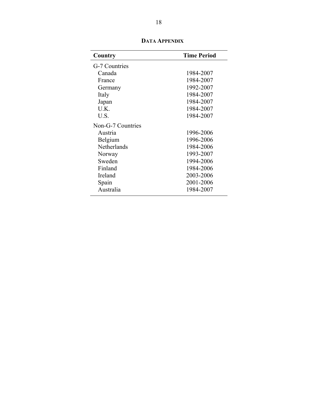| Country           | <b>Time Period</b> |
|-------------------|--------------------|
| G-7 Countries     |                    |
| Canada            | 1984-2007          |
| France            | 1984-2007          |
| Germany           | 1992-2007          |
| Italy             | 1984-2007          |
| Japan             | 1984-2007          |
| U.K.              | 1984-2007          |
| U.S.              | 1984-2007          |
| Non-G-7 Countries |                    |
| Austria           | 1996-2006          |
| Belgium           | 1996-2006          |
| Netherlands       | 1984-2006          |
| Norway            | 1993-2007          |
| Sweden            | 1994-2006          |
| Finland           | 1984-2006          |
| Ireland           | 2003-2006          |
| Spain             | 2001-2006          |
| Australia         | 1984-2007          |

**DATA APPENDIX**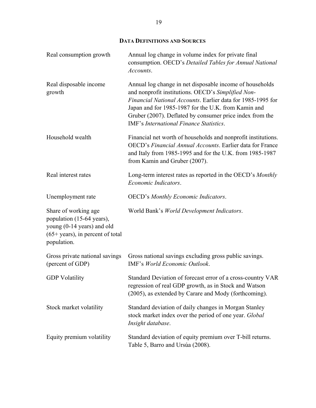## **DATA DEFINITIONS AND SOURCES**

| Real consumption growth                                                                                                              | Annual log change in volume index for private final<br>consumption. OECD's Detailed Tables for Annual National<br>Accounts.                                                                                                                                                                                                                 |
|--------------------------------------------------------------------------------------------------------------------------------------|---------------------------------------------------------------------------------------------------------------------------------------------------------------------------------------------------------------------------------------------------------------------------------------------------------------------------------------------|
| Real disposable income<br>growth                                                                                                     | Annual log change in net disposable income of households<br>and nonprofit institutions. OECD's Simplified Non-<br>Financial National Accounts. Earlier data for 1985-1995 for<br>Japan and for 1985-1987 for the U.K. from Kamin and<br>Gruber (2007). Deflated by consumer price index from the<br>IMF's International Finance Statistics. |
| Household wealth                                                                                                                     | Financial net worth of households and nonprofit institutions.<br>OECD's Financial Annual Accounts. Earlier data for France<br>and Italy from 1985-1995 and for the U.K. from 1985-1987<br>from Kamin and Gruber (2007).                                                                                                                     |
| Real interest rates                                                                                                                  | Long-term interest rates as reported in the OECD's Monthly<br>Economic Indicators.                                                                                                                                                                                                                                                          |
| Unemployment rate                                                                                                                    | <b>OECD's Monthly Economic Indicators.</b>                                                                                                                                                                                                                                                                                                  |
| Share of working age<br>population (15-64 years),<br>young (0-14 years) and old<br>$(65+years)$ , in percent of total<br>population. | World Bank's World Development Indicators.                                                                                                                                                                                                                                                                                                  |
| Gross private national savings<br>(percent of GDP)                                                                                   | Gross national savings excluding gross public savings.<br>IMF's World Economic Outlook.                                                                                                                                                                                                                                                     |
| <b>GDP</b> Volatility                                                                                                                | Standard Deviation of forecast error of a cross-country VAR<br>regression of real GDP growth, as in Stock and Watson<br>(2005), as extended by Carare and Mody (forthcoming).                                                                                                                                                               |
| Stock market volatility                                                                                                              | Standard deviation of daily changes in Morgan Stanley<br>stock market index over the period of one year. Global<br>Insight database.                                                                                                                                                                                                        |
| Equity premium volatility                                                                                                            | Standard deviation of equity premium over T-bill returns.<br>Table 5, Barro and Ursúa (2008).                                                                                                                                                                                                                                               |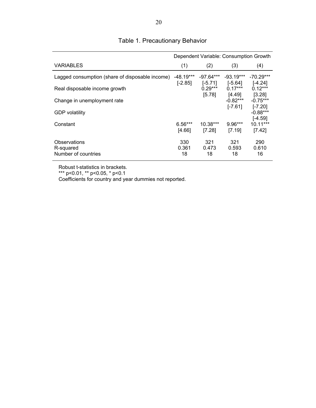|                                                  | Dependent Variable: Consumption Growth |                          |                          |                                 |  |  |
|--------------------------------------------------|----------------------------------------|--------------------------|--------------------------|---------------------------------|--|--|
| <b>VARIABLES</b>                                 | (1)                                    | (2)                      | (3)                      | (4)                             |  |  |
| Lagged consumption (share of disposable income)  | $-48.19***$<br>$[-2.85]$               | $-97.64***$<br>$[-5.71]$ | $-93.19***$<br>$[-5.64]$ | $-70.29***$<br>[-4.24]          |  |  |
| Real disposable income growth                    |                                        | $0.29***$<br>[5.78]      | $0.17***$<br>[4.49]      | $0.12***$                       |  |  |
| Change in unemployment rate                      |                                        |                          | $-0.82***$               | [3.28]<br>$-0.75***$            |  |  |
| <b>GDP</b> volatility                            |                                        |                          | $[-7.61]$                | $[-7.20]$<br>$-0.88***$         |  |  |
| Constant                                         | $6.56***$<br>[4.66]                    | 10.38***<br>[7.28]       | $9.96***$<br>[7.19]      | [-4.59]<br>$10.11***$<br>[7.42] |  |  |
| Observations<br>R-squared<br>Number of countries | 330<br>0.361<br>18                     | 321<br>0.473<br>18       | 321<br>0.593<br>18       | 290<br>0.610<br>16              |  |  |

# Table 1. Precautionary Behavior

Robust t-statistics in brackets.

\*\*\* p<0.01, \*\* p<0.05, \* p<0.1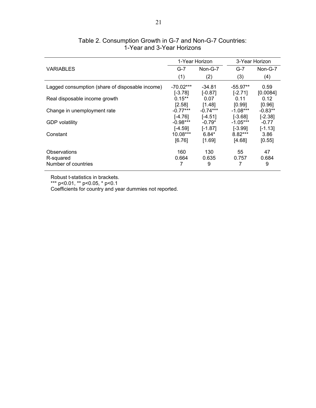|                                                  |                                 | 1-Year Horizon                 |                                | 3-Year Horizon              |  |
|--------------------------------------------------|---------------------------------|--------------------------------|--------------------------------|-----------------------------|--|
| <b>VARIABLES</b>                                 | $G-7$                           | $Non-G-7$                      | $G-7$                          | $Non-G-7$                   |  |
|                                                  | (1)                             | (2)                            | (3)                            | (4)                         |  |
| Lagged consumption (share of disposable income)  | $-70.02***$<br>$[-3.78]$        | -34.81<br>$[-0.87]$            | $-55.97**$                     | 0.59                        |  |
| Real disposable income growth                    | $0.15**$                        | 0.07                           | $[-2.71]$<br>0.11              | [0.0084]<br>0.12            |  |
| Change in unemployment rate                      | $[2.58]$<br>$-0.77***$          | [1.48]<br>$-0.74***$           | [0.99]<br>$-1.08***$           | [0.96]<br>$-0.83**$         |  |
| <b>GDP</b> volatility                            | $[-4.76]$<br>$-0.98***$         | $[-4.51]$<br>$-0.79*$          | $[-3.68]$<br>$-1.05***$        | $[-2.38]$<br>$-0.77$        |  |
| Constant                                         | $[-4.59]$<br>10.08***<br>[6.76] | $[-1.87]$<br>$6.84*$<br>[1.69] | [-3.99]<br>$8.82***$<br>[4.68] | $[-1.13]$<br>3.86<br>[0.55] |  |
| Observations<br>R-squared<br>Number of countries | 160<br>0.664                    | 130<br>0.635<br>9              | 55<br>0.757<br>7               | 47<br>0.684<br>9            |  |

## Table 2. Consumption Growth in G-7 and Non-G-7 Countries: 1-Year and 3-Year Horizons

Robust t-statistics in brackets.

\*\*\* p<0.01, \*\* p<0.05, \* p<0.1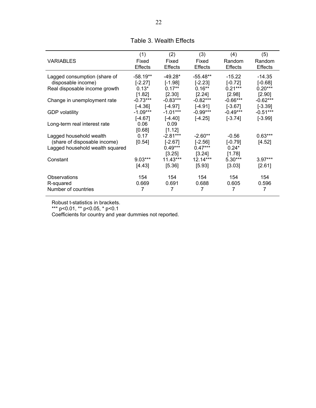|                                 | (1)            | (2)            | (3)            | (4)            | (5)            |
|---------------------------------|----------------|----------------|----------------|----------------|----------------|
| <b>VARIABLES</b>                | Fixed          | Fixed          | Fixed          | Random         | Random         |
|                                 | <b>Effects</b> | <b>Effects</b> | <b>Effects</b> | <b>Effects</b> | <b>Effects</b> |
| Lagged consumption (share of    | -58.19**       | -49.28*        | $-55.48**$     | $-15.22$       | $-14.35$       |
| disposable income)              | $[-2.27]$      | $[-1.98]$      | $[-2.23]$      | $[-0.72]$      | $[-0.68]$      |
| Real disposable income growth   | $0.13*$        | $0.17***$      | $0.16***$      | $0.21***$      | $0.20***$      |
|                                 | [1.82]         | [2.30]         | [2.24]         | [2.98]         | [2.90]         |
| Change in unemployment rate     | $-0.73***$     | $-0.83***$     | $-0.82***$     | $-0.66***$     | $-0.62***$     |
|                                 | $[-4.36]$      | $[-4.97]$      | $[-4.91]$      | $[-3.67]$      | $[-3.39]$      |
| <b>GDP</b> volatility           | $-1.09***$     | $-1.01***$     | $-0.99***$     | $-0.49***$     | $-0.51***$     |
|                                 | $[-4.67]$      | $[-4.40]$      | $[-4.25]$      | $[-3.74]$      | $[-3.99]$      |
| Long-term real interest rate    | 0.06           | 0.09           |                |                |                |
|                                 | [0.68]         | [1.12]         |                |                |                |
| Lagged household wealth         | 0.17           | $-2.81***$     | $-2.60**$      | $-0.56$        | $0.63***$      |
| (share of disposable income)    | [0.54]         | $[-2.67]$      | $[-2.56]$      | $[-0.79]$      | [4.52]         |
| Lagged household wealth squared |                | $0.49***$      | $0.47***$      | $0.24*$        |                |
|                                 |                | $[3.25]$       | [3.24]         | [1.78]         |                |
| Constant                        | $9.03***$      | $11.43***$     | $12.14***$     | $5.30***$      | $3.97***$      |
|                                 | [4.43]         | [5.36]         | [5.93]         | [3.03]         | [2.61]         |
| Observations                    | 154            | 154            | 154            | 154            | 154            |
| R-squared                       | 0.669          | 0.691          | 0.688          | 0.605          | 0.596          |
| Number of countries             |                | 7              |                |                | 7              |

## Table 3. Wealth Effects

Robust t-statistics in brackets.

\*\*\* p<0.01, \*\* p<0.05, \* p<0.1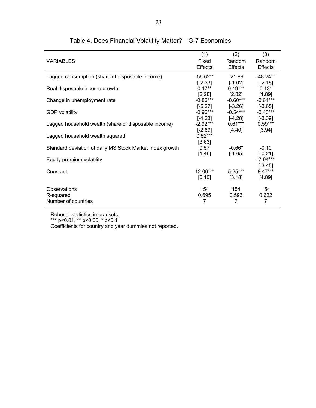|                                                          | (1)            | (2)            | (3)            |
|----------------------------------------------------------|----------------|----------------|----------------|
| <b>VARIABLES</b>                                         | Fixed          | Random         | Random         |
|                                                          | <b>Effects</b> | <b>Effects</b> | <b>Effects</b> |
| Lagged consumption (share of disposable income)          | -56.62**       | -21.99         | $-48.24**$     |
|                                                          | $[-2.33]$      | $[-1.02]$      | $[-2.18]$      |
| Real disposable income growth                            | $0.17***$      | $0.19***$      | $0.13*$        |
|                                                          | [2.28]         | [2.82]         | [1.89]         |
| Change in unemployment rate                              | -0.86***       | $-0.60***$     | $-0.64***$     |
|                                                          | $[-5.27]$      | $[-3.26]$      | $[-3.65]$      |
| <b>GDP</b> volatility                                    | $-0.96***$     | $-0.54***$     | $-0.40***$     |
|                                                          | $[-4.23]$      | $[-4.28]$      | $[-3.39]$      |
| Lagged household wealth (share of disposable income)     | $-2.92***$     | $0.61***$      | $0.59***$      |
|                                                          | $[-2.89]$      | [4.40]         | [3.94]         |
| Lagged household wealth squared                          | $0.52***$      |                |                |
|                                                          | [3.63]         |                |                |
| Standard deviation of daily MS Stock Market Index growth | 0.57           | $-0.66*$       | $-0.10$        |
|                                                          | [1.46]         | $[-1.65]$      | $[-0.21]$      |
| Equity premium volatility                                |                |                | $-7.94***$     |
|                                                          |                |                | $[-3.45]$      |
| Constant                                                 | 12.06***       | $5.25***$      | $8.47***$      |
|                                                          | [6.10]         | [3.18]         | [4.89]         |
| Observations                                             | 154            | 154            | 154            |
| R-squared                                                | 0.695          | 0.593          | 0.622          |
| Number of countries                                      | 7              | 7              | 7              |
|                                                          |                |                |                |

# Table 4. Does Financial Volatility Matter?—G-7 Economies

Robust t-statistics in brackets.

\*\*\* p<0.01, \*\* p<0.05, \* p<0.1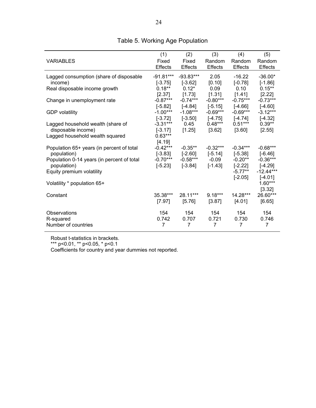|                                            | (1)            | (2)            | (3)            | (4)                    | (5)                      |
|--------------------------------------------|----------------|----------------|----------------|------------------------|--------------------------|
| <b>VARIABLES</b>                           | Fixed          | Fixed          | Random         | Random                 | Random                   |
|                                            | <b>Effects</b> | <b>Effects</b> | <b>Effects</b> | <b>Effects</b>         | <b>Effects</b>           |
| Lagged consumption (share of disposable    | $-91.81***$    | $-93.83***$    | 2.05           | $-16.22$               | $-36.00*$                |
| income)                                    | $[-3.75]$      | $[-3.62]$      | [0.10]         | $[-0.78]$              | $[-1.86]$                |
| Real disposable income growth              | $0.18***$      | $0.12*$        | 0.09           | 0.10                   | $0.15***$                |
|                                            | [2.37]         | [1.73]         | [1.31]         | [1.41]                 | [2.22]                   |
| Change in unemployment rate                | $-0.87***$     | $-0.74***$     | $-0.80***$     | $-0.75***$             | $-0.73***$               |
|                                            | $[-5.82]$      | $[-4.84]$      | $[-5.15]$      | $[-4.66]$              | $[-4.60]$                |
| <b>GDP</b> volatility                      | $-1.00***$     | $-1.08***$     | $-0.69***$     | $-0.69***$             | $-3.12***$               |
|                                            | $[-3.72]$      | $[-3.50]$      | $[-4.75]$      | $[-4.74]$              | $[-4.32]$                |
| Lagged household wealth (share of          | $-3.31***$     | 0.45           | $0.48***$      | $0.51***$              | $0.39**$                 |
| disposable income)                         | $[-3.17]$      | [1.25]         | [3.62]         | [3.60]                 | [2.55]                   |
| Lagged household wealth squared            | $0.63***$      |                |                |                        |                          |
|                                            | [4.19]         |                |                |                        |                          |
| Population 65+ years (in percent of total  | $-0.42***$     | $-0.35**$      | $-0.32***$     | $-0.34***$             | $-0.68***$               |
| population)                                | $[-3.83]$      | $[-2.60]$      | $[-5.14]$      | $[-5.38]$              | $[-6.46]$                |
| Population 0-14 years (in percent of total | $-0.70***$     | $-0.58***$     | $-0.09$        | $-0.20**$              | $-0.36***$               |
| population)                                | $[-5.23]$      | $[-3.84]$      | $[-1.43]$      | $[-2.22]$<br>$-5.77**$ | $[-4.29]$<br>$-12.44***$ |
| Equity premium volatility                  |                |                |                |                        |                          |
| Volatility * population 65+                |                |                |                | $[-2.05]$              | $[-4.01]$<br>$1.60***$   |
|                                            |                |                |                |                        | [3.32]                   |
| Constant                                   | 35.38***       | 28.11***       | $9.18***$      | 14.28***               | 26.60***                 |
|                                            | [7.97]         | [5.76]         | [3.87]         | [4.01]                 | [6.65]                   |
|                                            |                |                |                |                        |                          |
| Observations                               | 154            | 154            | 154            | 154                    | 154                      |
| R-squared                                  | 0.742          | 0.707          | 0.721          | 0.730                  | 0.746                    |
| Number of countries                        | 7              | $\overline{7}$ | 7              | 7                      | 7                        |
|                                            |                |                |                |                        |                          |

# Table 5. Working Age Population

Robust t-statistics in brackets.

\*\*\* p<0.01, \*\* p<0.05, \* p<0.1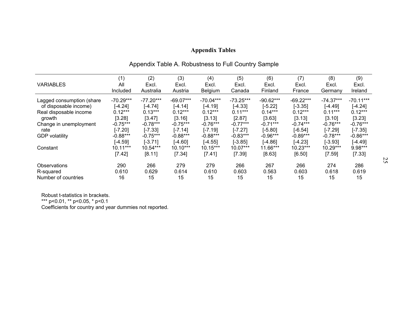# **Appendix Tables**

|                           | (1)         | (2)         | (3)         | (4)         | (5)         | (6)         | (7)         | (8)         | (9)         |
|---------------------------|-------------|-------------|-------------|-------------|-------------|-------------|-------------|-------------|-------------|
| <b>VARIABLES</b>          | All         | Excl.       | Excl.       | Excl.       | Excl.       | Excl.       | Excl.       | Excl.       | Excl.       |
|                           | Included    | Australia   | Austria     | Belgium     | Canada      | Finland     | France      | Germany     | Ireland     |
| Lagged consumption (share | $-70.29***$ | $-77.20***$ | $-69.07***$ | $-70.04***$ | $-73.25***$ | $-90.62***$ | $-69.22***$ | $-74.37***$ | $-70.11***$ |
| of disposable income)     | $[-4.24]$   | $[-4.74]$   | $[-4.14]$   | $[-4.19]$   | $[-4.33]$   | $[-5.22]$   | $[-3.35]$   | $[-4.49]$   | $[-4.24]$   |
| Real disposable income    | $0.12***$   | $0.13***$   | $0.12***$   | $0.12***$   | $0.11***$   | $0.14***$   | $0.12***$   | $0.11***$   | $0.12***$   |
| growth                    | [3.28]      | [3.47]      | [3.16]      | [3.13]      | [2.87]      | [3.63]      | [3.13]      | [3.10]      | [3.23]      |
| Change in unemployment    | $-0.75***$  | $-0.78***$  | $-0.75***$  | $-0.76***$  | $-0.77***$  | $-0.71***$  | $-0.74***$  | $-0.76***$  | $-0.76***$  |
| rate                      | $[-7.20]$   | $[-7.33]$   | $[-7.14]$   | $[-7.19]$   | $[-7.27]$   | $[-5.80]$   | $[-6.54]$   | $[-7.29]$   | $[-7.35]$   |
| <b>GDP</b> volatility     | $-0.88***$  | $-0.75***$  | $-0.88***$  | $-0.88***$  | $-0.83***$  | $-0.96***$  | $-0.89***$  | $-0.78***$  | $-0.86***$  |
|                           | $[-4.59]$   | $[-3.71]$   | $[-4.60]$   | $[-4.55]$   | $[-3.85]$   | $[-4.86]$   | $[-4.23]$   | $[-3.93]$   | $[-4.49]$   |
| Constant                  | $10.11***$  | 10.54***    | $10.10***$  | $10.15***$  | $10.07***$  | 11.66***    | $10.23***$  | 10.29***    | 9.98***     |
|                           | [7.42]      | [8.11]      | [7.34]      | [7.41]      | [7.39]      | [8.63]      | [6.50]      | [7.59]      | [7.33]      |
| Observations              | 290         | 266         | 279         | 279         | 266         | 267         | 266         | 274         | 286         |
| R-squared                 | 0.610       | 0.629       | 0.614       | 0.610       | 0.603       | 0.563       | 0.603       | 0.618       | 0.619       |
| Number of countries       | 16          | 15          | 15          | 15          | 15          | 15          | 15          | 15          | 15          |

# Appendix Table A. Robustness to Full Country Sample

Robust t-statistics in brackets. \*\*\* p<0.01, \*\* p<0.05, \* p<0.1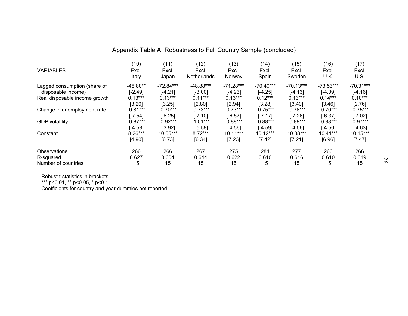|                               | (10)       | (11)        | (12)        | (13)        | (14)        | (15)        | (16)        | (17)        |
|-------------------------------|------------|-------------|-------------|-------------|-------------|-------------|-------------|-------------|
|                               |            |             |             |             |             |             |             |             |
| <b>VARIABLES</b>              | Excl.      | Excl.       | Excl.       | Excl.       | Excl.       | Excl.       | Excl.       | Excl.       |
|                               | Italy      | Japan       | Netherlands | Norway      | Spain       | Sweden      | U.K.        | U.S.        |
| Lagged consumption (share of  | $-48.80**$ | $-72.84***$ | -48.88***   | $-71.28***$ | $-70.40***$ | $-70.13***$ | $-73.53***$ | $-70.31***$ |
| disposable income)            | $[-2.49]$  | $[-4.21]$   | $[-3.00]$   | $[-4.23]$   | $[-4.25]$   | $[-4.13]$   | $[-4.09]$   | [-4.16]     |
| Real disposable income growth | $0.13***$  | $0.13***$   | $0.11***$   | $0.13***$   | $0.12***$   | $0.13***$   | $0.14***$   | $0.10***$   |
|                               | [3.20]     | [3.25]      | [2.80]      | [2.94]      | [3.28]      | [3.40]      | [3.46]      | [2.76]      |
| Change in unemployment rate   | $-0.81***$ | $-0.70***$  | $-0.73***$  | $-0.73***$  | $-0.75***$  | $-0.76***$  | $-0.70***$  | $-0.75***$  |
|                               | $[-7.54]$  | $[-6.25]$   | $[-7.10]$   | $[-6.57]$   | $[-7.17]$   | $[-7.26]$   | $[-6.37]$   | $[-7.02]$   |
| <b>GDP</b> volatility         | $-0.87***$ | $-0.92***$  | $-1.01***$  | $-0.88***$  | $-0.88***$  | $-0.88***$  | $-0.88***$  | $-0.97***$  |
|                               | $[-4.58]$  | $[-3.92]$   | $[-5.58]$   | $[-4.56]$   | $[-4.59]$   | $[-4.56]$   | $[-4.50]$   | $[-4.63]$   |
| Constant                      | $8.26***$  | 10.55***    | $8.72***$   | $10.11***$  | $10.12***$  | 10.08***    | $10.41***$  | 10.15***    |
|                               | [4.90]     | [6.73]      | [6.34]      | [7.23]      | [7.42]      | [7.21]      | [6.96]      | [7.47]      |
| Observations                  | 266        | 266         | 267         | 275         | 284         | 277         | 266         | 266         |
| R-squared                     | 0.627      | 0.604       | 0.644       | 0.622       | 0.610       | 0.616       | 0.610       | 0.619       |
| Number of countries           | 15         | 15          | 15          | 15          | 15          | 15          | 15          | 15          |
|                               |            |             |             |             |             |             |             |             |

Appendix Table A. Robustness to Full Country Sample (concluded)

Robust t-statistics in brackets. \*\*\* p<0.01, \*\* p<0.05, \* p<0.1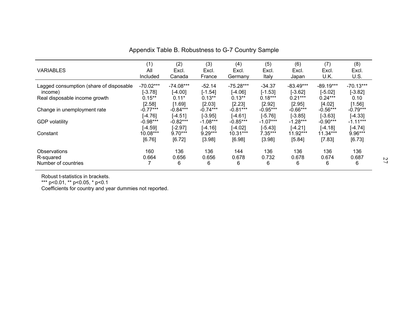|                                         | (1)         | (2)         | (3)        | (4)         | (5)        | (6)         | (7)         | (8)         |
|-----------------------------------------|-------------|-------------|------------|-------------|------------|-------------|-------------|-------------|
| <b>VARIABLES</b>                        | All         | Excl.       | Excl.      | Excl.       | Excl.      | Excl.       | Excl.       | Excl.       |
|                                         | Included    | Canada      | France     | Germany     | Italy      | Japan       | U.K.        | U.S.        |
| Lagged consumption (share of disposable | $-70.02***$ | $-74.08***$ | $-52.14$   | $-75.28***$ | $-34.37$   | $-83.49***$ | $-89.19***$ | $-70.13***$ |
| income)                                 | $[-3.78]$   | $[-4.00]$   | $[-1.54]$  | $[-4.06]$   | $[-1.53]$  | $[-3.62]$   | $[-5.02]$   | $[-3.82]$   |
| Real disposable income growth           | $0.15***$   | $0.11*$     | $0.13***$  | $0.13***$   | $0.18***$  | $0.21***$   | $0.24***$   | 0.10        |
|                                         | [2.58]      | [1.69]      | [2.03]     | [2.23]      | [2.92]     | [2.95]      | [4.02]      | [1.56]      |
| Change in unemployment rate             | $-0.77***$  | $-0.84***$  | $-0.74***$ | $-0.81***$  | $-0.95***$ | $-0.66***$  | $-0.56***$  | $-0.79***$  |
|                                         | $[-4.76]$   | $[-4.51]$   | $[-3.95]$  | $[-4.61]$   | $[-5.76]$  | $[-3.85]$   | $[-3.63]$   | $[-4.33]$   |
| <b>GDP</b> volatility                   | $-0.98***$  | $-0.82***$  | $-1.08***$ | $-0.85***$  | $-1.07***$ | $-1.28***$  | $-0.90***$  | $-1.11***$  |
|                                         | $[-4.59]$   | $[-2.97]$   | $[-4.16]$  | $[-4.02]$   | $[-5.43]$  | $[-4.21]$   | $[-4.18]$   | $[-4.74]$   |
| Constant                                | 10.08***    | $9.70***$   | $9.29***$  | $10.31***$  | $7.35***$  | 11.92***    | $11.34***$  | 9.96***     |
|                                         | [6.76]      | [6.72]      | [3.98]     | [6.98]      | [3.98]     | [5.84]      | [7.83]      | [6.73]      |
| <b>Observations</b>                     | 160         | 136         | 136        | 144         | 136        | 136         | 136         | 136         |
| R-squared                               | 0.664       | 0.656       | 0.656      | 0.678       | 0.732      | 0.678       | 0.674       | 0.687       |
| Number of countries                     |             | 6           | 6          | 6           | 6          | 6           | 6           | 6           |

Appendix Table B. Robustness to G-7 Country Sample

Robust t-statistics in brackets.

\*\*\* p<0.01, \*\* p<0.05, \* p<0.1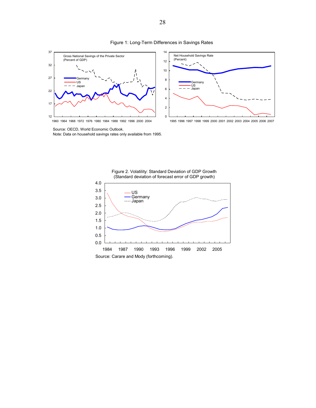

#### Figure 1: Long-Term Differences in Savings Rates



 Source: OECD, World Economic Outlook. Note: Data on household savings rates only available from 1995.



Figure 2. Volatility: Standard Deviation of GDP Growth (Standard deviation of forecast error of GDP growth)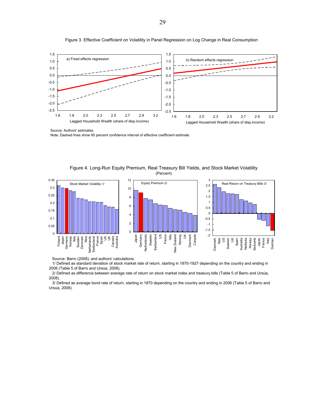

Figure 3. Effective Coefficient on Volatility in Panel Regression on Log Change in Real Consumption

Source: Authors' estimates.

Note: Dashed lines show 95 percent confidence interval of effective coefficient estimate.



Figure 4. Long-Run Equity Premium, Real Treasury Bill Yields, and Stock Market Volatility (Percent)

Source: Barro (2008); and authors' calculations.

 1/ Defined as standard deviation of stock market rate of return, starting in 1870-1927 depending on the country and ending in 2006 (Table 5 of Barro and Ursúa, 2008).

 2/ Defined as difference between average rate of return on stock market index and treasury bills (Table 5 of Barro and Ursúa, 2008).

 3/ Defined as average bond rate of return, starting in 1870 depending on the country and ending in 2006 (Table 5 of Barro and Ursúa, 2008).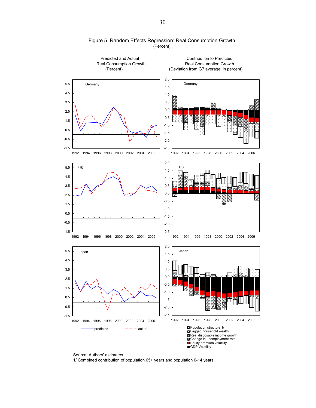

#### Figure 5. Random Effects Regression: Real Consumption Growth (Percent)

Source: Authors' estimates.

1/ Combined contribution of population 65+ years and population 0-14 years.